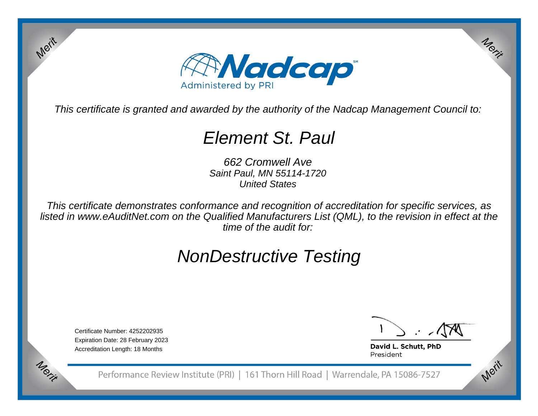

This certificate is granted and awarded by the authority of the Nadcap Management Council to:

# Element St. Paul

662 Cromwell Ave Saint Paul, MN 55114-1720United States

This certificate demonstrates conformance and recognition of accreditation for specific services, as listed in www.eAuditNet.com on the Qualified Manufacturers List (QML), to the revision in effect at thetime of the audit for:

# NonDestructive Testing

Certificate Number: 4252202935 Expiration Date: 28 February 2023Accreditation Length: 18 Months

Merit

Merit

Merit

Merit

David L. Schutt, PhD President

Performance Review Institute (PRI) | 161 Thorn Hill Road | Warrendale, PA 15086-7527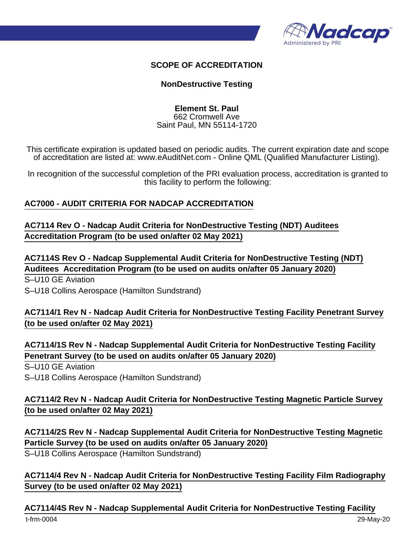

#### **SCOPE OF ACCREDITATION**

#### **NonDestructive Testing**

#### **Element St. Paul** 662 Cromwell Ave Saint Paul, MN 55114-1720

This certificate expiration is updated based on periodic audits. The current expiration date and scope of accreditation are listed at: www.eAuditNet.com - Online QML (Qualified Manufacturer Listing).

In recognition of the successful completion of the PRI evaluation process, accreditation is granted to this facility to perform the following:

#### **AC7000 - AUDIT CRITERIA FOR NADCAP ACCREDITATION**

**AC7114 Rev O - Nadcap Audit Criteria for NonDestructive Testing (NDT) Auditees Accreditation Program (to be used on/after 02 May 2021)**

**AC7114S Rev O - Nadcap Supplemental Audit Criteria for NonDestructive Testing (NDT) Auditees Accreditation Program (to be used on audits on/after 05 January 2020)**

S–U10 GE Aviation S–U18 Collins Aerospace (Hamilton Sundstrand)

### **AC7114/1 Rev N - Nadcap Audit Criteria for NonDestructive Testing Facility Penetrant Survey (to be used on/after 02 May 2021)**

**AC7114/1S Rev N - Nadcap Supplemental Audit Criteria for NonDestructive Testing Facility Penetrant Survey (to be used on audits on/after 05 January 2020)**

S–U10 GE Aviation

S–U18 Collins Aerospace (Hamilton Sundstrand)

### **AC7114/2 Rev N - Nadcap Audit Criteria for NonDestructive Testing Magnetic Particle Survey (to be used on/after 02 May 2021)**

**AC7114/2S Rev N - Nadcap Supplemental Audit Criteria for NonDestructive Testing Magnetic Particle Survey (to be used on audits on/after 05 January 2020)**

S–U18 Collins Aerospace (Hamilton Sundstrand)

### **AC7114/4 Rev N - Nadcap Audit Criteria for NonDestructive Testing Facility Film Radiography Survey (to be used on/after 02 May 2021)**

#### **AC7114/4S Rev N - Nadcap Supplemental Audit Criteria for NonDestructive Testing Facility**

t-frm-0004 29-May-20